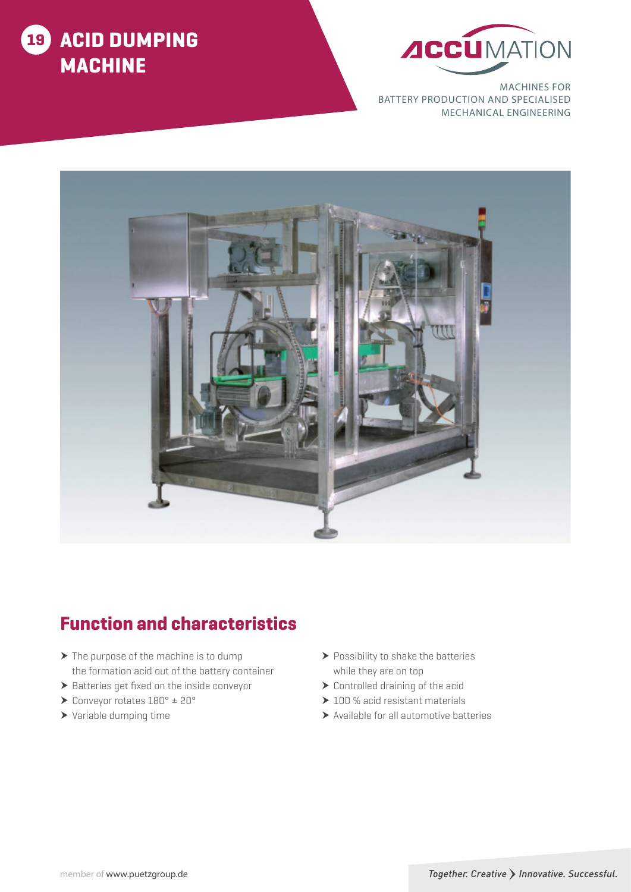



MACHINES FOR BATTERY PRODUCTION AND SPECIALISED MECHANICAL ENGINEERING



# Function and characteristics

- $\blacktriangleright$  The purpose of the machine is to dump the formation acid out of the battery container
- $\blacktriangleright$  Batteries get fixed on the inside conveyor
- $\blacktriangleright$  Conveyor rotates  $180^\circ \pm 20^\circ$
- $\blacktriangleright$  Variable dumping time
- $\blacktriangleright$  Possibility to shake the batteries while they are on top
- $\blacktriangleright$  Controlled draining of the acid
- $\geq 100$  % acid resistant materials
- $\blacktriangleright$  Available for all automotive batteries